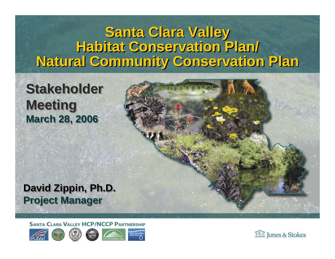#### **Santa Clara Valley Santa Clara Valley Habitat Conservation Plan/ Habitat Conservation Plan/ Natural Community Conservation Plan Natural Community Conservation Plan**

#### **Stakeholder Stakeholder Meeting Meeting March 28, 2006 March 28, 2006**



**SANTA CLARA VALLEY HCP/NCCP PARTNERSHIP** 



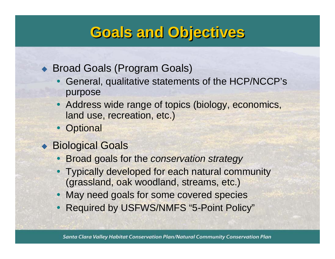## **Goals and Objectives Goals and Objectives**

#### ◆ Broad Goals (Program Goals)

- General, qualitative statements of the HCP/NCCP's purpose
- Address wide range of topics (biology, economics, land use, recreation, etc.)
- Optional
- ◆ Biological Goals
	- y Broad goals for the *conservation strategy*
	- Typically developed for each natural community (grassland, oak woodland, streams, etc.)
	- May need goals for some covered species
	- $\bullet$ Required by USFWS/NMFS "5-Point Policy"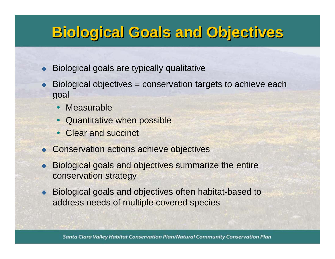## **Biological Goals and Objectives Biological Goals and Objectives**

♦ Biological goals are typically qualitative

- ♦ Biological objectives = conservation targets to achieve each goal
	- $\bullet$ Measurable
	- $\bullet$ Quantitative when possible
	- Clear and succinct
- ◆ Conservation actions achieve objectives
- $\blacklozenge$  Biological goals and objectives summarize the entire conservation strategy
- ♦ Biological goals and objectives often habitat-based to address needs of multiple covered species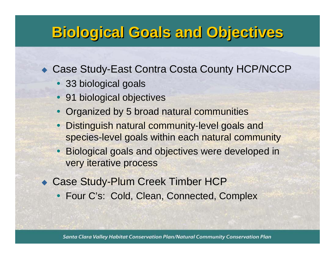## **Biological Goals and Objectives Biological Goals and Objectives**

◆ Case Study-East Contra Costa County HCP/NCCP

- 33 biological goals
- 91 biological objectives
- Organized by 5 broad natural communities
- Distinguish natural community-level goals and species-level goals within each natural community
- Biological goals and objectives were developed in very iterative process
- ◆ Case Study-Plum Creek Timber HCP
	- Four C's: Cold, Clean, Connected, Complex